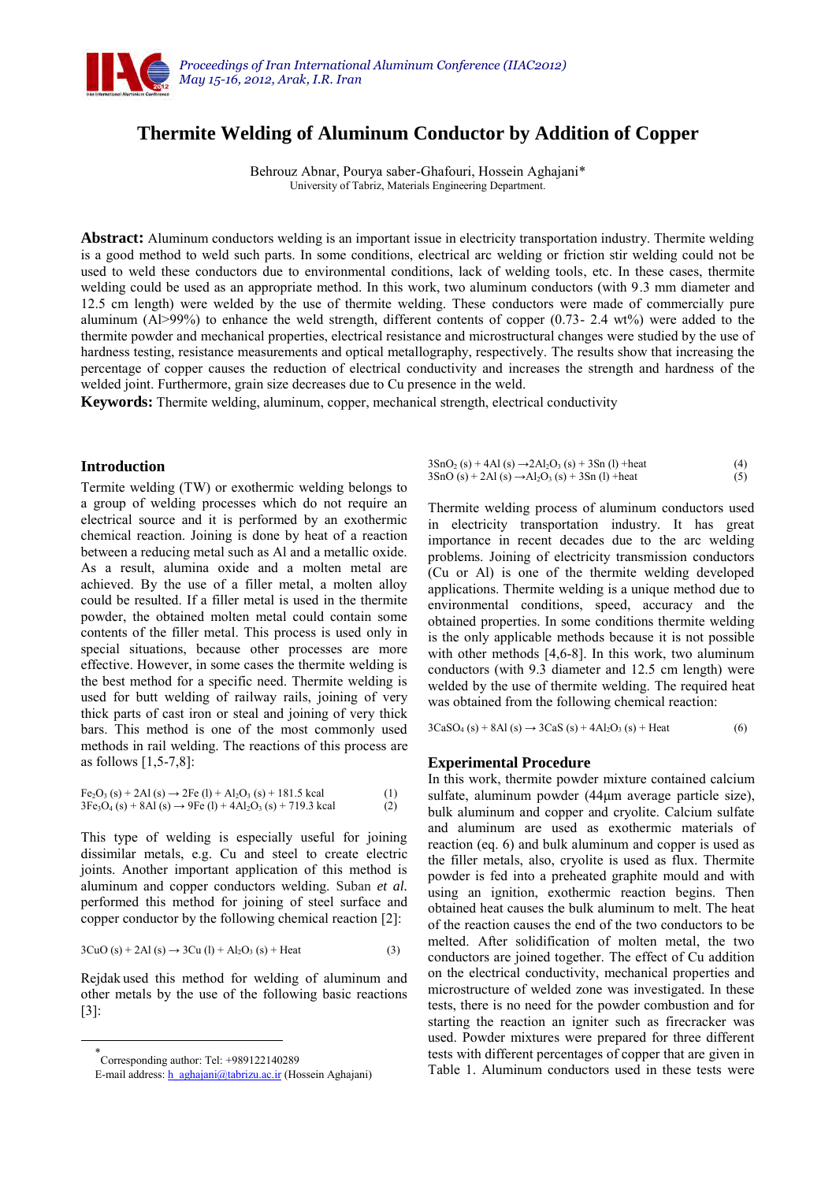

# **Thermite Welding of Aluminum Conductor by Addition of Copper**

Behrouz Abnar, Pourya saber-Ghafouri, Hossein Aghajani\* University of Tabriz, Materials Engineering Department.

**Abstract:** Aluminum conductors welding is an important issue in electricity transportation industry. Thermite welding is a good method to weld such parts. In some conditions, electrical arc welding or friction stir welding could not be used to weld these conductors due to environmental conditions, lack of welding tools, etc. In these cases, thermite welding could be used as an appropriate method. In this work, two aluminum conductors (with 9.3 mm diameter and 12.5 cm length) were welded by the use of thermite welding. These conductors were made of commercially pure aluminum (Al>99%) to enhance the weld strength, different contents of copper (0.73- 2.4 wt%) were added to the thermite powder and mechanical properties, electrical resistance and microstructural changes were studied by the use of hardness testing, resistance measurements and optical metallography, respectively. The results show that increasing the percentage of copper causes the reduction of electrical conductivity and increases the strength and hardness of the welded joint. Furthermore, grain size decreases due to Cu presence in the weld.

**Keywords:** Thermite welding, aluminum, copper, mechanical strength, electrical conductivity

# **Introduction**

Termite welding (TW) or exothermic welding belongs to a group of welding processes which do not require an electrical source and it is performed by an exothermic chemical reaction. Joining is done by heat of a reaction between a reducing metal such as Al and a metallic oxide. As a result, alumina oxide and a molten metal are achieved. By the use of a filler metal, a molten alloy could be resulted. If a filler metal is used in the thermite powder, the obtained molten metal could contain some contents of the filler metal. This process is used only in special situations, because other processes are more effective. However, in some cases the thermite welding is the best method for a specific need. Thermite welding is used for butt welding of railway rails, joining of very thick parts of cast iron or steal and joining of very thick bars. This method is one of the most commonly used methods in rail welding. The reactions of this process are as follows [1,5-7,8]:

$$
Fe2O3 (s) + 2Al (s) \rightarrow 2Fe (l) + Al2O3 (s) + 181.5 kcal (l)3Fe3O4 (s) + 8Al (s) \rightarrow 9Fe (l) + 4Al2O3 (s) + 719.3 kcal (2)
$$

This type of welding is especially useful for joining dissimilar metals, e.g. Cu and steel to create electric joints. Another important application of this method is aluminum and copper conductors welding. Suban *et al.* performed this method for joining of steel surface and copper conductor by the following chemical reaction [2]:

$$
3CuO(s) + 2Al(s) \rightarrow 3Cu (l) + Al2O3(s) + Heat
$$
 (3)

Rejdak used this method for welding of aluminum and other metals by the use of the following basic reactions [3]:

 $\overline{a}$ 

| $3SnO2(s) + 4Al(s) \rightarrow 2Al2O3(s) + 3Sn (l) + heat$                                          | (4) |
|-----------------------------------------------------------------------------------------------------|-----|
| $3\text{SnO}(s) + 2\text{Al}(s) \rightarrow \text{Al}_2\text{O}_3(s) + 3\text{Sn}(l) + \text{heat}$ | (5) |

Thermite welding process of aluminum conductors used in electricity transportation industry. It has great importance in recent decades due to the arc welding problems. Joining of electricity transmission conductors (Cu or Al) is one of the thermite welding developed applications. Thermite welding is a unique method due to environmental conditions, speed, accuracy and the obtained properties. In some conditions thermite welding is the only applicable methods because it is not possible with other methods [4,6-8]. In this work, two aluminum conductors (with 9.3 diameter and 12.5 cm length) were welded by the use of thermite welding. The required heat was obtained from the following chemical reaction:

 $3CaSO_4(s) + 8Al(s) \rightarrow 3CaS(s) + 4Al_2O_3(s) + Heat$  (6)

#### **Experimental Procedure**

In this work, thermite powder mixture contained calcium sulfate, aluminum powder (44μm average particle size), bulk aluminum and copper and cryolite. Calcium sulfate and aluminum are used as exothermic materials of reaction (eq. 6) and bulk aluminum and copper is used as the filler metals, also, cryolite is used as flux. Thermite powder is fed into a preheated graphite mould and with using an ignition, exothermic reaction begins. Then obtained heat causes the bulk aluminum to melt. The heat of the reaction causes the end of the two conductors to be melted. After solidification of molten metal, the two conductors are joined together. The effect of Cu addition on the electrical conductivity, mechanical properties and microstructure of welded zone was investigated. In these tests, there is no need for the powder combustion and for starting the reaction an igniter such as firecracker was used. Powder mixtures were prepared for three different tests with different percentages of copper that are given in Table 1. Aluminum conductors used in these tests were

<sup>\*</sup> Corresponding author: Tel: +989122140289

E-mail address[: h\\_aghajani@tabrizu.ac.ir \(](mailto:h_aghajani@tabrizu.ac.ir)Hossein Aghajani)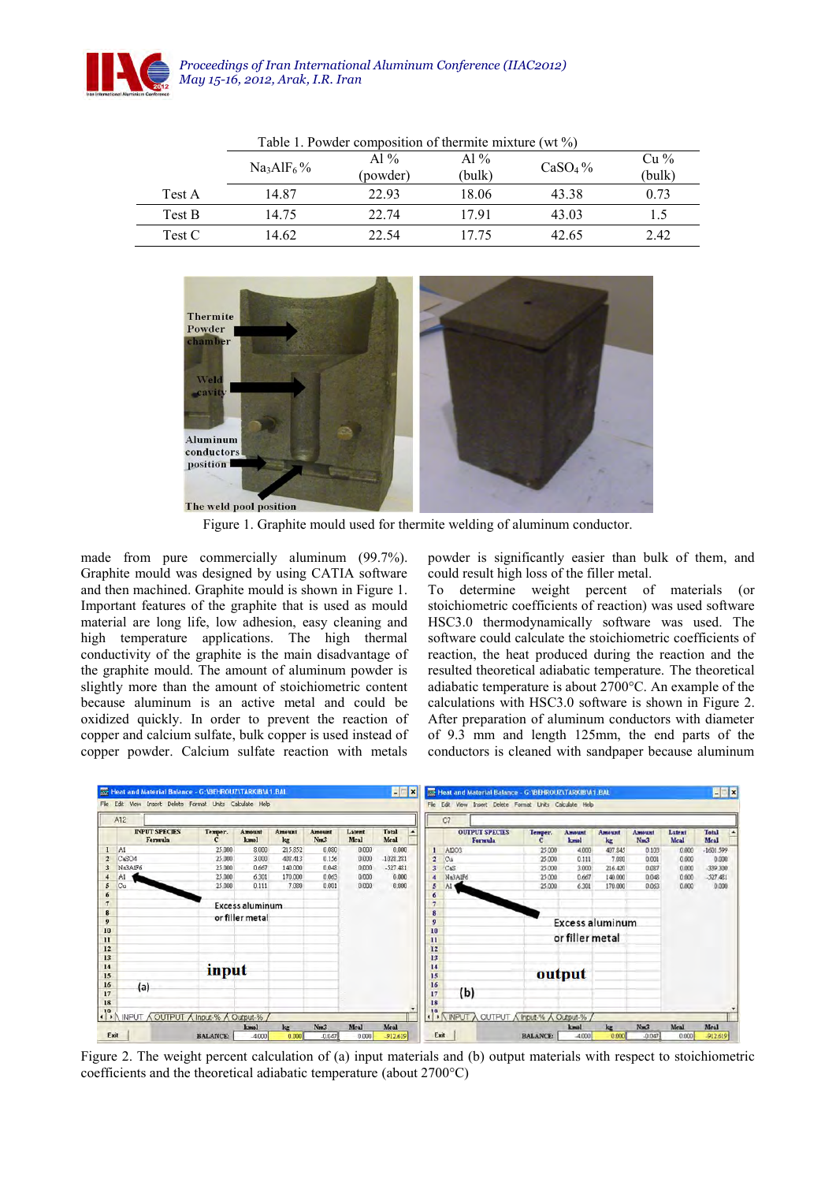

|        | $1.0010 - 1.1001 + 0.01100 + 0.01010 + 0.01000 + 0.01000 + 0.00000 + 0.00000 + 0.00000 + 0.00000 + 0.00000 + 0.00000 + 0.00000 + 0.00000 + 0.00000 + 0.00000 + 0.00000 + 0.00000 + 0.00000 + 0.00000 + 0.00000 + 0.00000 + 0.00000 + 0.00000 + 0.0000$<br>. |                    |                |                     |                  |  |
|--------|-------------------------------------------------------------------------------------------------------------------------------------------------------------------------------------------------------------------------------------------------------------|--------------------|----------------|---------------------|------------------|--|
|        | $Na3AIF6$ %                                                                                                                                                                                                                                                 | Al $%$<br>(powder) | Al %<br>(bulk) | CaSO <sub>4</sub> % | $Cu\%$<br>(bulk) |  |
| Test A | 14.87                                                                                                                                                                                                                                                       | 22.93              | 18.06          | 43.38               | 0.73             |  |
| Test B | 14.75                                                                                                                                                                                                                                                       | 22.74              | 17.91          | 43.03               | 1.5              |  |
| Test C | 14.62                                                                                                                                                                                                                                                       | 22.54              | 17 75          | 42.65               | 2.42             |  |

Table 1. Powder composition of thermite mixture (wt %)



Figure 1. Graphite mould used for thermite welding of aluminum conductor.

made from pure commercially aluminum (99.7%). Graphite mould was designed by using CATIA software and then machined. Graphite mould is shown in Figure 1. Important features of the graphite that is used as mould material are long life, low adhesion, easy cleaning and high temperature applications. The high thermal conductivity of the graphite is the main disadvantage of the graphite mould. The amount of aluminum powder is slightly more than the amount of stoichiometric content because aluminum is an active metal and could be oxidized quickly. In order to prevent the reaction of copper and calcium sulfate, bulk copper is used instead of copper powder. Calcium sulfate reaction with metals

powder is significantly easier than bulk of them, and could result high loss of the filler metal.

To determine weight percent of materials (or stoichiometric coefficients of reaction) was used software HSC3.0 thermodynamically software was used. The software could calculate the stoichiometric coefficients of reaction, the heat produced during the reaction and the resulted theoretical adiabatic temperature. The theoretical adiabatic temperature is about 2700°C. An example of the calculations with HSC3.0 software is shown in Figure 2. After preparation of aluminum conductors with diameter of 9.3 mm and length 125mm, the end parts of the conductors is cleaned with sandpaper because aluminum



Figure 2. The weight percent calculation of (a) input materials and (b) output materials with respect to stoichiometric coefficients and the theoretical adiabatic temperature (about 2700°C)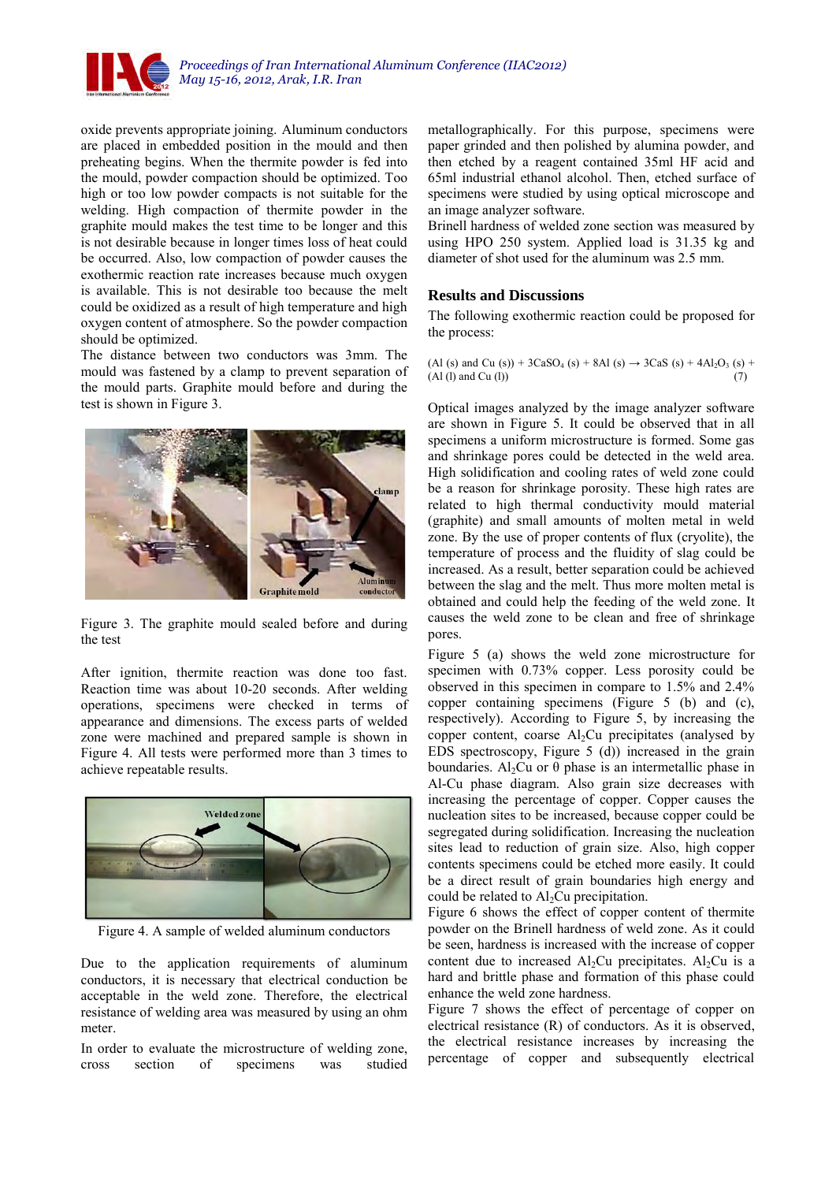

oxide prevents appropriate joining. Aluminum conductors are placed in embedded position in the mould and then preheating begins. When the thermite powder is fed into the mould, powder compaction should be optimized. Too high or too low powder compacts is not suitable for the welding. High compaction of thermite powder in the graphite mould makes the test time to be longer and this is not desirable because in longer times loss of heat could be occurred. Also, low compaction of powder causes the exothermic reaction rate increases because much oxygen is available. This is not desirable too because the melt could be oxidized as a result of high temperature and high oxygen content of atmosphere. So the powder compaction should be optimized.

The distance between two conductors was 3mm. The mould was fastened by a clamp to prevent separation of the mould parts. Graphite mould before and during the test is shown in Figure 3.



Figure 3. The graphite mould sealed before and during the test

After ignition, thermite reaction was done too fast. Reaction time was about 10-20 seconds. After welding operations, specimens were checked in terms of appearance and dimensions. The excess parts of welded zone were machined and prepared sample is shown in Figure 4. All tests were performed more than 3 times to achieve repeatable results.



Figure 4. A sample of welded aluminum conductors

Due to the application requirements of aluminum conductors, it is necessary that electrical conduction be acceptable in the weld zone. Therefore, the electrical resistance of welding area was measured by using an ohm meter.

In order to evaluate the microstructure of welding zone, cross section of specimens was studied metallographically. For this purpose, specimens were paper grinded and then polished by alumina powder, and then etched by a reagent contained 35ml HF acid and 65ml industrial ethanol alcohol. Then, etched surface of specimens were studied by using optical microscope and an image analyzer software.

Brinell hardness of welded zone section was measured by using HPO 250 system. Applied load is 31.35 kg and diameter of shot used for the aluminum was 2.5 mm.

# **Results and Discussions**

The following exothermic reaction could be proposed for the process:

(Al (s) and Cu (s)) +  $3CaSO_4$  (s) +  $8Al$  (s)  $\rightarrow$   $3CaS$  (s) +  $4Al_2O_3$  (s) +  $(A1 (l)$  and Cu  $(l)$ ) (7)

Optical images analyzed by the image analyzer software are shown in Figure 5. It could be observed that in all specimens a uniform microstructure is formed. Some gas and shrinkage pores could be detected in the weld area. High solidification and cooling rates of weld zone could be a reason for shrinkage porosity. These high rates are related to high thermal conductivity mould material (graphite) and small amounts of molten metal in weld zone. By the use of proper contents of flux (cryolite), the temperature of process and the fluidity of slag could be increased. As a result, better separation could be achieved between the slag and the melt. Thus more molten metal is obtained and could help the feeding of the weld zone. It causes the weld zone to be clean and free of shrinkage pores.

Figure 5 (a) shows the weld zone microstructure for specimen with 0.73% copper. Less porosity could be observed in this specimen in compare to 1.5% and 2.4% copper containing specimens (Figure 5 (b) and (c), respectively). According to Figure 5, by increasing the copper content, coarse  $Al<sub>2</sub>Cu$  precipitates (analysed by EDS spectroscopy, Figure 5 (d)) increased in the grain boundaries. Al<sub>2</sub>Cu or  $\theta$  phase is an intermetallic phase in Al-Cu phase diagram. Also grain size decreases with increasing the percentage of copper. Copper causes the nucleation sites to be increased, because copper could be segregated during solidification. Increasing the nucleation sites lead to reduction of grain size. Also, high copper contents specimens could be etched more easily. It could be a direct result of grain boundaries high energy and could be related to  $Al<sub>2</sub>Cu$  precipitation.

Figure 6 shows the effect of copper content of thermite powder on the Brinell hardness of weld zone. As it could be seen, hardness is increased with the increase of copper content due to increased  $Al_2Cu$  precipitates.  $Al_2Cu$  is a hard and brittle phase and formation of this phase could enhance the weld zone hardness.

Figure 7 shows the effect of percentage of copper on electrical resistance (R) of conductors. As it is observed, the electrical resistance increases by increasing the percentage of copper and subsequently electrical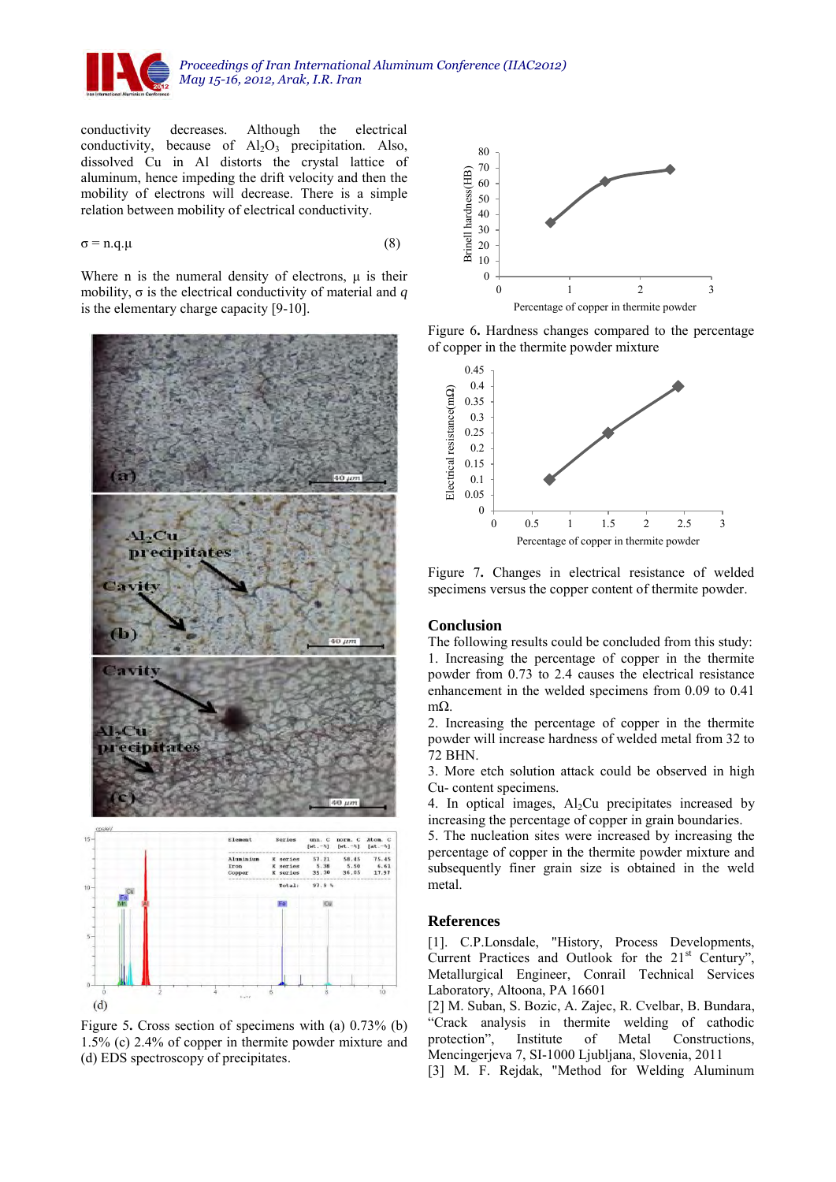

conductivity decreases. Although the electrical conductivity, because of  $Al_2O_3$  precipitation. Also, dissolved Cu in Al distorts the crystal lattice of aluminum, hence impeding the drift velocity and then the mobility of electrons will decrease. There is a simple relation between mobility of [electrical conductivity.](http://en.wikipedia.org/wiki/Electrical_conductivity)

$$
\sigma = n.q.\mu \tag{8}
$$

Where n is the [numeral density](http://en.wikipedia.org/wiki/Number_density) of electrons,  $\mu$  is their mobility, σ is the electrical conductivity of material and *q*  is the [elementary charge](http://en.wikipedia.org/wiki/Elementary_charge) capacity [9-10].







Figure 6**.** Hardness changes compared to the percentage of copper in the thermite powder mixture



Figure 7**.** Changes in electrical resistance of welded specimens versus the copper content of thermite powder.

### **Conclusion**

The following results could be concluded from this study: 1. Increasing the percentage of copper in the thermite powder from 0.73 to 2.4 causes the electrical resistance enhancement in the welded specimens from 0.09 to 0.41 mΩ.

2. Increasing the percentage of copper in the thermite powder will increase hardness of welded metal from 32 to 72 BHN.

3. More etch solution attack could be observed in high Cu- content specimens.

4. In optical images,  $Al<sub>2</sub>Cu$  precipitates increased by increasing the percentage of copper in grain boundaries.

5. The nucleation sites were increased by increasing the percentage of copper in the thermite powder mixture and subsequently finer grain size is obtained in the weld metal.

#### **References**

[1]. C.P.Lonsdale, "History, Process Developments, Current Practices and Outlook for the 21<sup>st</sup> Century", Metallurgical Engineer, Conrail Technical Services Laboratory, Altoona, PA 16601

[2] M. Suban, S. Bozic, A. Zajec, R. Cvelbar, B. Bundara, "Crack analysis in thermite welding of cathodic protection", Institute of Metal Constructions, Mencingerjeva 7, SI-1000 Ljubljana, Slovenia, 2011

[3] M. F. Rejdak, "Method for Welding Aluminum